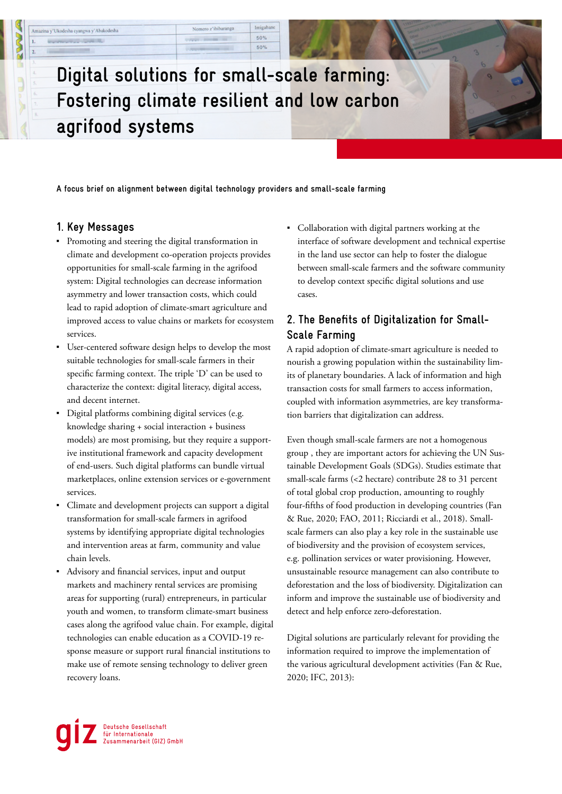# **Digital solutions for small-scale farming: Fostering climate resilient and low carbon agrifood systems**

Nomero z'ibibaranga

Imigabane

50% 50%

**A focus brief on alignment between digital technology providers and small-scale farming** 

### **1. Key Messages**

Amazina y'Ukodesha cyangwa y'Abakodesha

- Promoting and steering the digital transformation in climate and development co-operation projects provides opportunities for small-scale farming in the agrifood system: Digital technologies can decrease information asymmetry and lower transaction costs, which could lead to rapid adoption of climate-smart agriculture and improved access to value chains or markets for ecosystem services.
- User-centered software design helps to develop the most suitable technologies for small-scale farmers in their specific farming context. The triple 'D' can be used to characterize the context: digital literacy, digital access, and decent internet.
- Digital platforms combining digital services (e.g. knowledge sharing + social interaction + business models) are most promising, but they require a supportive institutional framework and capacity development of end-users. Such digital platforms can bundle virtual marketplaces, online extension services or e-government services.
- Climate and development projects can support a digital transformation for small-scale farmers in agrifood systems by identifying appropriate digital technologies and intervention areas at farm, community and value chain levels.
- Advisory and financial services, input and output markets and machinery rental services are promising areas for supporting (rural) entrepreneurs, in particular youth and women, to transform climate-smart business cases along the agrifood value chain. For example, digital technologies can enable education as a COVID-19 response measure or support rural financial institutions to make use of remote sensing technology to deliver green recovery loans.

▪ Collaboration with digital partners working at the interface of software development and technical expertise in the land use sector can help to foster the dialogue between small-scale farmers and the software community to develop context specific digital solutions and use cases.

# **2. The Benefits of Digitalization for Small-Scale Farming**

A rapid adoption of climate-smart agriculture is needed to nourish a growing population within the sustainability limits of planetary boundaries. A lack of information and high transaction costs for small farmers to access information, coupled with information asymmetries, are key transformation barriers that digitalization can address.

Even though small-scale farmers are not a homogenous group , they are important actors for achieving the UN Sustainable Development Goals (SDGs). Studies estimate that small-scale farms (<2 hectare) contribute 28 to 31 percent of total global crop production, amounting to roughly four-fifths of food production in developing countries (Fan & Rue, 2020; FAO, 2011; Ricciardi et al., 2018). Smallscale farmers can also play a key role in the sustainable use of biodiversity and the provision of ecosystem services, e.g. pollination services or water provisioning. However, unsustainable resource management can also contribute to deforestation and the loss of biodiversity. Digitalization can inform and improve the sustainable use of biodiversity and detect and help enforce zero-deforestation.

Digital solutions are particularly relevant for providing the information required to improve the implementation of the various agricultural development activities (Fan & Rue, 2020; IFC, 2013):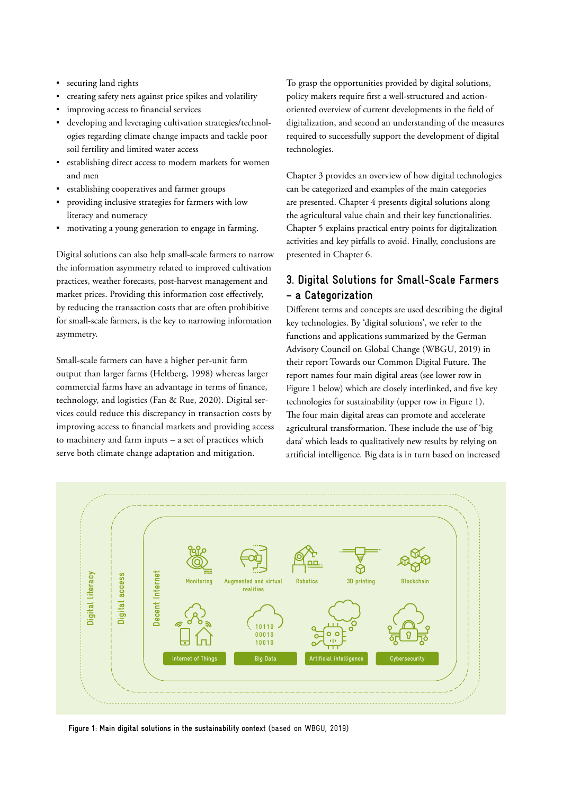- securing land rights
- creating safety nets against price spikes and volatility
- improving access to financial services
- developing and leveraging cultivation strategies/technologies regarding climate change impacts and tackle poor soil fertility and limited water access
- establishing direct access to modern markets for women and men
- establishing cooperatives and farmer groups
- providing inclusive strategies for farmers with low literacy and numeracy
- motivating a young generation to engage in farming.

Digital solutions can also help small-scale farmers to narrow the information asymmetry related to improved cultivation practices, weather forecasts, post-harvest management and market prices. Providing this information cost effectively, by reducing the transaction costs that are often prohibitive for small-scale farmers, is the key to narrowing information asymmetry.

Small-scale farmers can have a higher per-unit farm output than larger farms (Heltberg, 1998) whereas larger commercial farms have an advantage in terms of finance, technology, and logistics (Fan & Rue, 2020). Digital services could reduce this discrepancy in transaction costs by improving access to financial markets and providing access to machinery and farm inputs – a set of practices which serve both climate change adaptation and mitigation.

To grasp the opportunities provided by digital solutions, policy makers require first a well-structured and actionoriented overview of current developments in the field of digitalization, and second an understanding of the measures required to successfully support the development of digital technologies.

Chapter 3 provides an overview of how digital technologies can be categorized and examples of the main categories are presented. Chapter 4 presents digital solutions along the agricultural value chain and their key functionalities. Chapter 5 explains practical entry points for digitalization activities and key pitfalls to avoid. Finally, conclusions are presented in Chapter 6.

# **3. Digital Solutions for Small-Scale Farmers – a Categorization**

Different terms and concepts are used describing the digital key technologies. By 'digital solutions', we refer to the functions and applications summarized by the German Advisory Council on Global Change (WBGU, 2019) in their report Towards our Common Digital Future. The report names four main digital areas (see lower row in Figure 1 below) which are closely interlinked, and five key technologies for sustainability (upper row in Figure 1). The four main digital areas can promote and accelerate agricultural transformation. These include the use of 'big data' which leads to qualitatively new results by relying on artificial intelligence. Big data is in turn based on increased



**Figure 1: Main digital solutions in the sustainability context** (based on WBGU, 2019)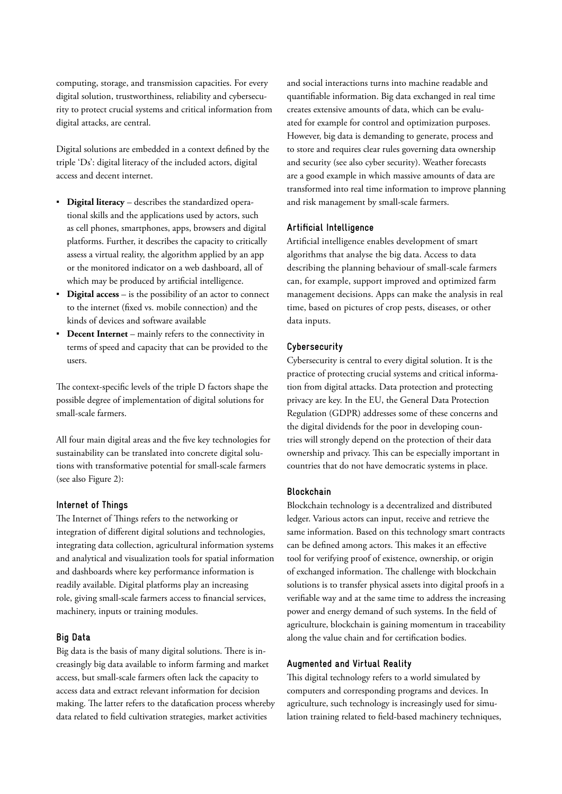computing, storage, and transmission capacities. For every digital solution, trustworthiness, reliability and cybersecurity to protect crucial systems and critical information from digital attacks, are central.

Digital solutions are embedded in a context defined by the triple 'Ds': digital literacy of the included actors, digital access and decent internet.

- **Digital literacy** describes the standardized operational skills and the applications used by actors, such as cell phones, smartphones, apps, browsers and digital platforms. Further, it describes the capacity to critically assess a virtual reality, the algorithm applied by an app or the monitored indicator on a web dashboard, all of which may be produced by artificial intelligence.
- **Digital access** is the possibility of an actor to connect to the internet (fixed vs. mobile connection) and the kinds of devices and software available
- **Decent Internet** mainly refers to the connectivity in terms of speed and capacity that can be provided to the users.

The context-specific levels of the triple D factors shape the possible degree of implementation of digital solutions for small-scale farmers.

All four main digital areas and the five key technologies for sustainability can be translated into concrete digital solutions with transformative potential for small-scale farmers (see also Figure 2):

#### **Internet of Things**

The Internet of Things refers to the networking or integration of different digital solutions and technologies, integrating data collection, agricultural information systems and analytical and visualization tools for spatial information and dashboards where key performance information is readily available. Digital platforms play an increasing role, giving small-scale farmers access to financial services, machinery, inputs or training modules.

#### **Big Data**

Big data is the basis of many digital solutions. There is increasingly big data available to inform farming and market access, but small-scale farmers often lack the capacity to access data and extract relevant information for decision making. The latter refers to the datafication process whereby data related to field cultivation strategies, market activities

and social interactions turns into machine readable and quantifiable information. Big data exchanged in real time creates extensive amounts of data, which can be evaluated for example for control and optimization purposes. However, big data is demanding to generate, process and to store and requires clear rules governing data ownership and security (see also cyber security). Weather forecasts are a good example in which massive amounts of data are transformed into real time information to improve planning and risk management by small-scale farmers.

#### **Artificial Intelligence**

Artificial intelligence enables development of smart algorithms that analyse the big data. Access to data describing the planning behaviour of small-scale farmers can, for example, support improved and optimized farm management decisions. Apps can make the analysis in real time, based on pictures of crop pests, diseases, or other data inputs.

#### **Cybersecurity**

Cybersecurity is central to every digital solution. It is the practice of protecting crucial systems and critical information from digital attacks. Data protection and protecting privacy are key. In the EU, the General Data Protection Regulation (GDPR) addresses some of these concerns and the digital dividends for the poor in developing countries will strongly depend on the protection of their data ownership and privacy. This can be especially important in countries that do not have democratic systems in place.

#### **Blockchain**

Blockchain technology is a decentralized and distributed ledger. Various actors can input, receive and retrieve the same information. Based on this technology smart contracts can be defined among actors. This makes it an effective tool for verifying proof of existence, ownership, or origin of exchanged information. The challenge with blockchain solutions is to transfer physical assets into digital proofs in a verifiable way and at the same time to address the increasing power and energy demand of such systems. In the field of agriculture, blockchain is gaining momentum in traceability along the value chain and for certification bodies.

#### **Augmented and Virtual Reality**

This digital technology refers to a world simulated by computers and corresponding programs and devices. In agriculture, such technology is increasingly used for simulation training related to field-based machinery techniques,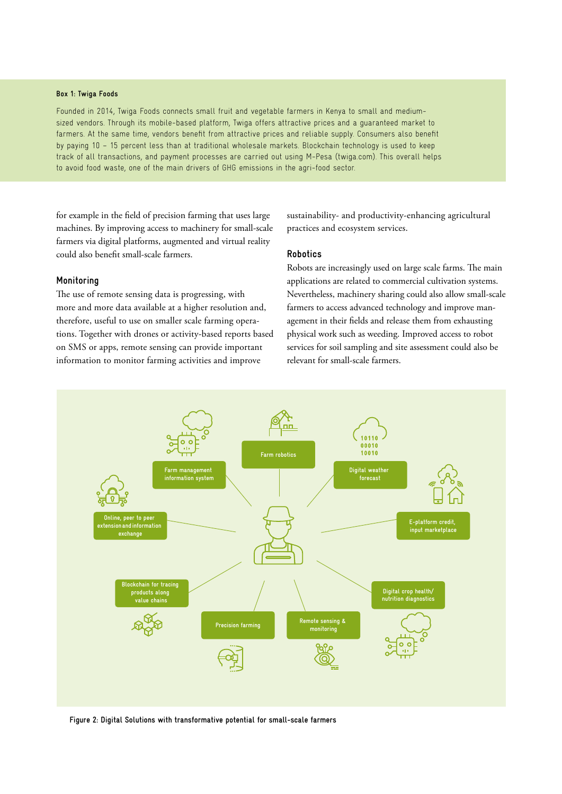#### **Box 1: Twiga Foods**

Founded in 2014, Twiga Foods connects small fruit and vegetable farmers in Kenya to small and mediumsized vendors. Through its mobile-based platform, Twiga offers attractive prices and a guaranteed market to farmers. At the same time, vendors benefit from attractive prices and reliable supply. Consumers also benefit by paying 10 – 15 percent less than at traditional wholesale markets. Blockchain technology is used to keep track of all transactions, and payment processes are carried out using M-Pesa (twiga.com). This overall helps to avoid food waste, one of the main drivers of GHG emissions in the agri-food sector.

for example in the field of precision farming that uses large machines. By improving access to machinery for small-scale farmers via digital platforms, augmented and virtual reality could also benefit small-scale farmers.

#### **Monitoring**

The use of remote sensing data is progressing, with more and more data available at a higher resolution and, therefore, useful to use on smaller scale farming operations. Together with drones or activity-based reports based on SMS or apps, remote sensing can provide important information to monitor farming activities and improve

 sustainability- and productivity-enhancing agricultural practices and ecosystem services.

#### **Robotics**

Robots are increasingly used on large scale farms. The main applications are related to commercial cultivation systems. Nevertheless, machinery sharing could also allow small-scale farmers to access advanced technology and improve management in their fields and release them from exhausting physical work such as weeding. Improved access to robot services for soil sampling and site assessment could also be relevant for small-scale farmers.



**Figure 2: Digital Solutions with transformative potential for small-scale farmers**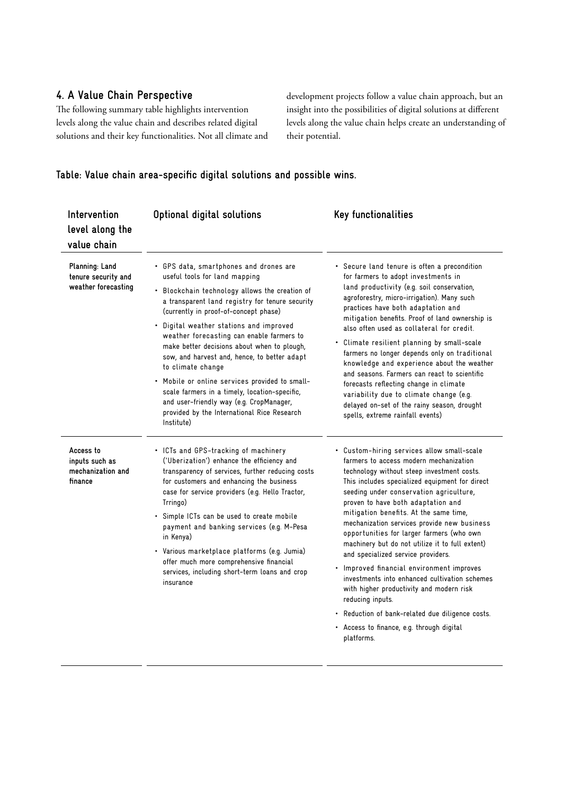# **4. A Value Chain Perspective**

The following summary table highlights intervention levels along the value chain and describes related digital solutions and their key functionalities. Not all climate and  development projects follow a value chain approach, but an insight into the possibilities of digital solutions at different levels along the value chain helps create an understanding of their potential.

## **Table: Value chain area-specific digital solutions and possible wins.**

| Intervention<br>level along the<br>value chain               | Optional digital solutions                                                                                                                                                                                                                                                                                                                                                                                                                                                                                                                                                                                                                    | Key functionalities                                                                                                                                                                                                                                                                                                                                                                                                                                                                                                                                                                                                                                                                                                                                                               |
|--------------------------------------------------------------|-----------------------------------------------------------------------------------------------------------------------------------------------------------------------------------------------------------------------------------------------------------------------------------------------------------------------------------------------------------------------------------------------------------------------------------------------------------------------------------------------------------------------------------------------------------------------------------------------------------------------------------------------|-----------------------------------------------------------------------------------------------------------------------------------------------------------------------------------------------------------------------------------------------------------------------------------------------------------------------------------------------------------------------------------------------------------------------------------------------------------------------------------------------------------------------------------------------------------------------------------------------------------------------------------------------------------------------------------------------------------------------------------------------------------------------------------|
| Planning: Land<br>tenure security and<br>weather forecasting | • GPS data, smartphones and drones are<br>useful tools for land mapping<br>• Blockchain technology allows the creation of<br>a transparent land registry for tenure security<br>(currently in proof-of-concept phase)<br>• Digital weather stations and improved<br>weather forecasting can enable farmers to<br>make better decisions about when to plough,<br>sow, and harvest and, hence, to better adapt<br>to climate change<br>• Mobile or online services provided to small-<br>scale farmers in a timely, location-specific,<br>and user-friendly way (e.g. CropManager,<br>provided by the International Rice Research<br>Institute) | • Secure land tenure is often a precondition<br>for farmers to adopt investments in<br>land productivity (e.g. soil conservation,<br>agroforestry, micro-irrigation). Many such<br>practices have both adaptation and<br>mitigation benefits. Proof of land ownership is<br>also often used as collateral for credit.<br>• Climate resilient planning by small-scale<br>farmers no longer depends only on traditional<br>knowledge and experience about the weather<br>and seasons. Farmers can react to scientific<br>forecasts reflecting change in climate<br>variability due to climate change (e.g.<br>delayed on-set of the rainy season, drought<br>spells, extreme rainfall events)                                                                                       |
| Access to<br>inputs such as<br>mechanization and<br>finance  | • ICTs and GPS-tracking of machinery<br>('Uberization') enhance the efficiency and<br>transparency of services, further reducing costs<br>for customers and enhancing the business<br>case for service providers (e.g. Hello Tractor,<br>Trringo)<br>· Simple ICTs can be used to create mobile<br>payment and banking services (e.g. M-Pesa<br>in Kenya)<br>· Various marketplace platforms (e.g. Jumia)<br>offer much more comprehensive financial<br>services, including short-term loans and crop<br>insurance                                                                                                                            | • Custom-hiring services allow small-scale<br>farmers to access modern mechanization<br>technology without steep investment costs.<br>This includes specialized equipment for direct<br>seeding under conservation agriculture,<br>proven to have both adaptation and<br>mitigation benefits. At the same time,<br>mechanization services provide new business<br>opportunities for larger farmers (who own<br>machinery but do not utilize it to full extent)<br>and specialized service providers.<br>• Improved financial environment improves<br>investments into enhanced cultivation schemes<br>with higher productivity and modern risk<br>reducing inputs.<br>• Reduction of bank-related due diligence costs.<br>• Access to finance, e.g. through digital<br>platforms. |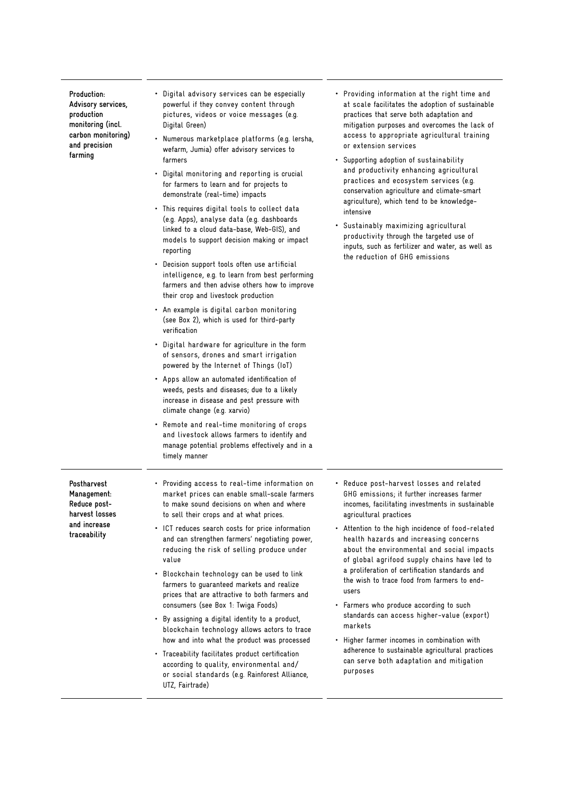| Production:        |  |  |
|--------------------|--|--|
| Advisory services, |  |  |
| production         |  |  |
| monitoring (incl.  |  |  |
| carbon monitoring) |  |  |
| and precision      |  |  |
| farming            |  |  |

- Digital advisory services can be especially powerful if they convey content through pictures, videos or voice messages (e.g. Digital Green)
- Numerous marketplace platforms (e.g. lersha, wefarm, Jumia) offer advisory services to farmers
- Digital monitoring and reporting is crucial for farmers to learn and for projects to demonstrate (real-time) impacts
- This requires digital tools to collect data (e.g. Apps), analyse data (e.g. dashboards linked to a cloud data-base, Web-GIS), and models to support decision making or impact reporting
- Decision support tools often use artificial intelligence, e.g. to learn from best performing farmers and then advise others how to improve their crop and livestock production
- An example is digital carbon monitoring (see Box 2), which is used for third-party verification
- Digital hardware for agriculture in the form of sensors, drones and smart irrigation powered by the Internet of Things (IoT)
- Apps allow an automated identification of weeds, pests and diseases; due to a likely increase in disease and pest pressure with climate change (e.g. xarvio)
- Remote and real-time monitoring of crops and livestock allows farmers to identify and manage potential problems effectively and in a timely manner
- Providing information at the right time and at scale facilitates the adoption of sustainable practices that serve both adaptation and mitigation purposes and overcomes the lack of access to appropriate agricultural training or extension services
- Supporting adoption of sustainability and productivity enhancing agricultural practices and ecosystem services (e.g. conservation agriculture and climate-smart agriculture), which tend to be knowledgeintensive
- Sustainably maximizing agricultural productivity through the targeted use of inputs, such as fertilizer and water, as well as the reduction of GHG emissions

- **Postharvest Management: Reduce postharvest losses and increase traceability**
- Providing access to real-time information on market prices can enable small-scale farmers to make sound decisions on when and where to sell their crops and at what prices.
- ICT reduces search costs for price information and can strengthen farmers' negotiating power, reducing the risk of selling produce under value
- Blockchain technology can be used to link farmers to guaranteed markets and realize prices that are attractive to both farmers and consumers (see Box 1: Twiga Foods)
- By assigning a digital identity to a product, blockchain technology allows actors to trace how and into what the product was processed
- Traceability facilitates product certification according to quality, environmental and/ or social standards (e.g. Rainforest Alliance, UTZ, Fairtrade)
- Reduce post-harvest losses and related GHG emissions; it further increases farmer incomes, facilitating investments in sustainable agricultural practices
- Attention to the high incidence of food-related health hazards and increasing concerns about the environmental and social impacts of global agrifood supply chains have led to a proliferation of certification standards and the wish to trace food from farmers to endusers
- Farmers who produce according to such standards can access higher-value (export) markets
- Higher farmer incomes in combination with adherence to sustainable agricultural practices can serve both adaptation and mitigation purposes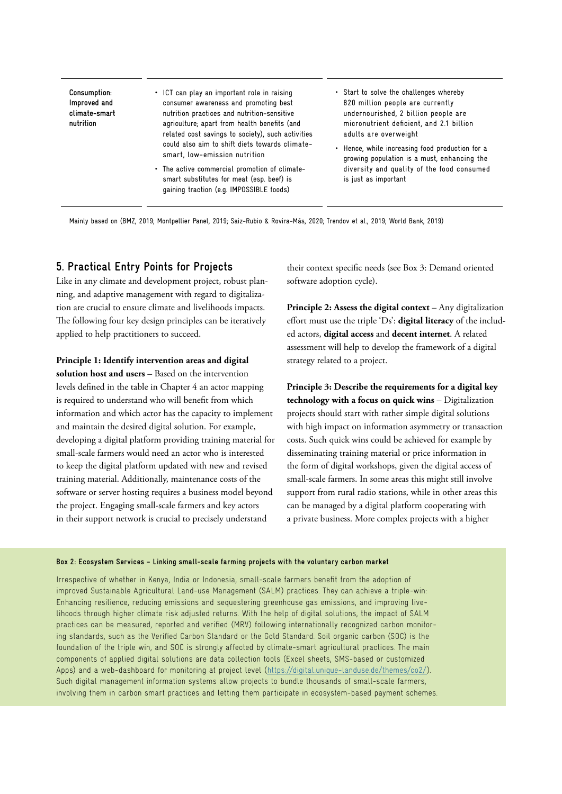**Consumption: Improved and climate-smart nutrition**

• ICT can play an important role in raising consumer awareness and promoting best nutrition practices and nutrition-sensitive agriculture; apart from health benefits (and related cost savings to society), such activities could also aim to shift diets towards climatesmart, low-emission nutrition

- The active commercial promotion of climatesmart substitutes for meat (esp. beef) is gaining traction (e.g. IMPOSSIBLE foods)
- Start to solve the challenges whereby 820 million people are currently undernourished, 2 billion people are micronutrient deficient, and 2.1 billion adults are overweight
- Hence, while increasing food production for a growing population is a must, enhancing the diversity and quality of the food consumed is just as important

Mainly based on (BMZ, 2019; Montpellier Panel, 2019; Saiz-Rubio & Rovira-Más, 2020; Trendov et al., 2019; World Bank, 2019)

#### **5. Practical Entry Points for Projects**

Like in any climate and development project, robust planning, and adaptive management with regard to digitalization are crucial to ensure climate and livelihoods impacts. The following four key design principles can be iteratively applied to help practitioners to succeed.

#### **Principle 1: Identify intervention areas and digital**

**solution host and users** – Based on the intervention levels defined in the table in Chapter 4 an actor mapping is required to understand who will benefit from which information and which actor has the capacity to implement and maintain the desired digital solution. For example, developing a digital platform providing training material for small-scale farmers would need an actor who is interested to keep the digital platform updated with new and revised training material. Additionally, maintenance costs of the software or server hosting requires a business model beyond the project. Engaging small-scale farmers and key actors in their support network is crucial to precisely understand

their context specific needs (see Box 3: Demand oriented software adoption cycle).

**Principle 2: Assess the digital context** – Any digitalization effort must use the triple 'Ds': **digital literacy** of the included actors, **digital access** and **decent internet**. A related assessment will help to develop the framework of a digital strategy related to a project.

**Principle 3: Describe the requirements for a digital key technology with a focus on quick wins** – Digitalization projects should start with rather simple digital solutions with high impact on information asymmetry or transaction costs. Such quick wins could be achieved for example by disseminating training material or price information in the form of digital workshops, given the digital access of small-scale farmers. In some areas this might still involve support from rural radio stations, while in other areas this can be managed by a digital platform cooperating with a private business. More complex projects with a higher

#### **Box 2: Ecosystem Services – Linking small-scale farming projects with the voluntary carbon market**

Irrespective of whether in Kenya, India or Indonesia, small-scale farmers benefit from the adoption of improved Sustainable Agricultural Land-use Management (SALM) practices. They can achieve a triple-win: Enhancing resilience, reducing emissions and sequestering greenhouse gas emissions, and improving livelihoods through higher climate risk adjusted returns. With the help of digital solutions, the impact of SALM practices can be measured, reported and verified (MRV) following internationally recognized carbon monitoring standards, such as the Verified Carbon Standard or the Gold Standard. Soil organic carbon (SOC) is the foundation of the triple win, and SOC is strongly affected by climate-smart agricultural practices. The main components of applied digital solutions are data collection tools (Excel sheets, SMS-based or customized Apps) and a web-dashboard for monitoring at project level (https://digital.unique-landuse.de/themes/co2/). Such digital management information systems allow projects to bundle thousands of small-scale farmers, involving them in carbon smart practices and letting them participate in ecosystem-based payment schemes.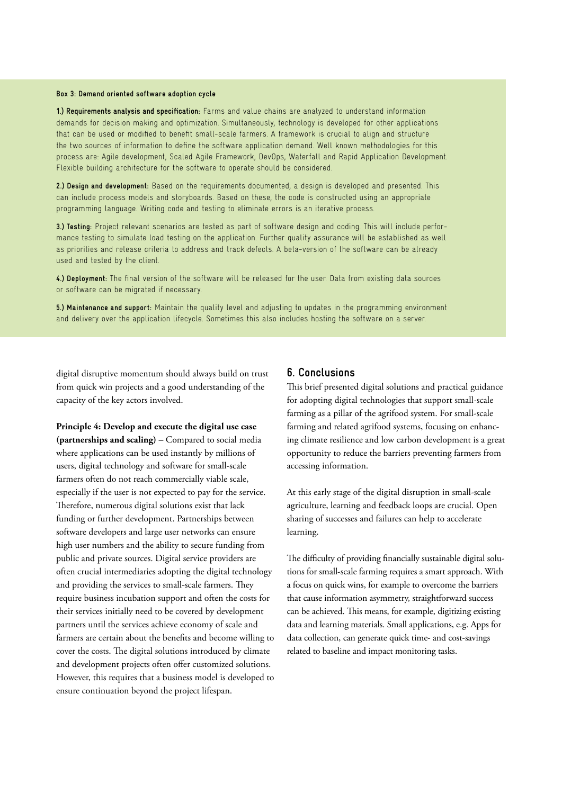#### **Box 3: Demand oriented software adoption cycle**

**1.) Requirements analysis and specification:** Farms and value chains are analyzed to understand information demands for decision making and optimization. Simultaneously, technology is developed for other applications that can be used or modified to benefit small-scale farmers. A framework is crucial to align and structure the two sources of information to define the software application demand. Well known methodologies for this process are: Agile development, Scaled Agile Framework, DevOps, Waterfall and Rapid Application Development. Flexible building architecture for the software to operate should be considered.

**2.) Design and development:** Based on the requirements documented, a design is developed and presented. This can include process models and storyboards. Based on these, the code is constructed using an appropriate programming language. Writing code and testing to eliminate errors is an iterative process.

**3.) Testing:** Project relevant scenarios are tested as part of software design and coding. This will include performance testing to simulate load testing on the application. Further quality assurance will be established as well as priorities and release criteria to address and track defects. A beta-version of the software can be already used and tested by the client.

**4.) Deployment:** The final version of the software will be released for the user. Data from existing data sources or software can be migrated if necessary.

**5.) Maintenance and support:** Maintain the quality level and adjusting to updates in the programming environment and delivery over the application lifecycle. Sometimes this also includes hosting the software on a server.

digital disruptive momentum should always build on trust from quick win projects and a good understanding of the capacity of the key actors involved.

**Principle 4: Develop and execute the digital use case (partnerships and scaling)** – Compared to social media where applications can be used instantly by millions of users, digital technology and software for small-scale farmers often do not reach commercially viable scale, especially if the user is not expected to pay for the service. Therefore, numerous digital solutions exist that lack funding or further development. Partnerships between software developers and large user networks can ensure high user numbers and the ability to secure funding from public and private sources. Digital service providers are often crucial intermediaries adopting the digital technology and providing the services to small-scale farmers. They require business incubation support and often the costs for their services initially need to be covered by development partners until the services achieve economy of scale and farmers are certain about the benefits and become willing to cover the costs. The digital solutions introduced by climate and development projects often offer customized solutions. However, this requires that a business model is developed to ensure continuation beyond the project lifespan.

#### **6. Conclusions**

This brief presented digital solutions and practical guidance for adopting digital technologies that support small-scale farming as a pillar of the agrifood system. For small-scale farming and related agrifood systems, focusing on enhancing climate resilience and low carbon development is a great opportunity to reduce the barriers preventing farmers from accessing information.

At this early stage of the digital disruption in small-scale agriculture, learning and feedback loops are crucial. Open sharing of successes and failures can help to accelerate learning.

The difficulty of providing financially sustainable digital solutions for small-scale farming requires a smart approach. With a focus on quick wins, for example to overcome the barriers that cause information asymmetry, straightforward success can be achieved. This means, for example, digitizing existing data and learning materials. Small applications, e.g. Apps for data collection, can generate quick time- and cost-savings related to baseline and impact monitoring tasks.